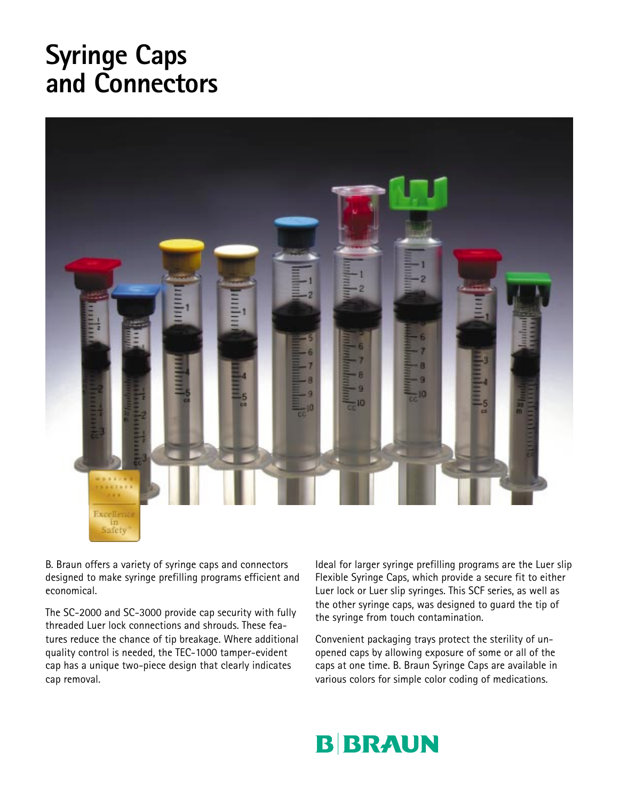## **Syringe Caps and Connectors**



B. Braun offers a variety of syringe caps and connectors designed to make syringe prefilling programs efficient and economical.

The SC-2000 and SC-3000 provide cap security with fully threaded Luer lock connections and shrouds. These features reduce the chance of tip breakage. Where additional quality control is needed, the TEC-1000 tamper-evident cap has a unique two-piece design that clearly indicates cap removal.

Ideal for larger syringe prefilling programs are the Luer slip Flexible Syringe Caps, which provide a secure fit to either Luer lock or Luer slip syringes. This SCF series, as well as the other syringe caps, was designed to guard the tip of the syringe from touch contamination.

Convenient packaging trays protect the sterility of unopened caps by allowing exposure of some or all of the caps at one time. B. Braun Syringe Caps are available in various colors for simple color coding of medications.